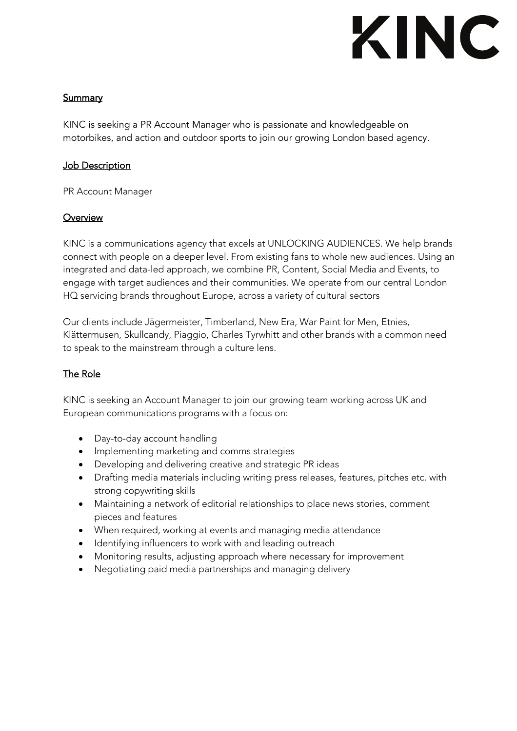# KINC

## **Summary**

KINC is seeking a PR Account Manager who is passionate and knowledgeable on motorbikes, and action and outdoor sports to join our growing London based agency.

#### **Job Description**

PR Account Manager

#### **Overview**

KINC is a communications agency that excels at UNLOCKING AUDIENCES. We help brands connect with people on a deeper level. From existing fans to whole new audiences. Using an integrated and data-led approach, we combine PR, Content, Social Media and Events, to engage with target audiences and their communities. We operate from our central London HQ servicing brands throughout Europe, across a variety of cultural sectors

Our clients include Jägermeister, Timberland, New Era, War Paint for Men, Etnies, Klättermusen, Skullcandy, Piaggio, Charles Tyrwhitt and other brands with a common need to speak to the mainstream through a culture lens.

#### The Role

KINC is seeking an Account Manager to join our growing team working across UK and European communications programs with a focus on:

- Day-to-day account handling
- Implementing marketing and comms strategies
- Developing and delivering creative and strategic PR ideas
- Drafting media materials including writing press releases, features, pitches etc. with strong copywriting skills
- Maintaining a network of editorial relationships to place news stories, comment pieces and features
- When required, working at events and managing media attendance
- Identifying influencers to work with and leading outreach
- Monitoring results, adjusting approach where necessary for improvement
- Negotiating paid media partnerships and managing delivery